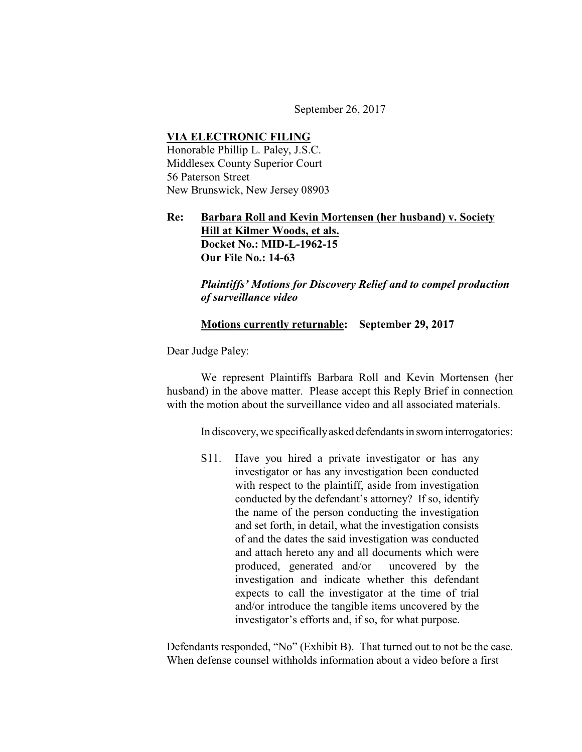September 26, 2017

## **VIA ELECTRONIC FILING** Honorable Phillip L. Paley, J.S.C. Middlesex County Superior Court 56 Paterson Street New Brunswick, New Jersey 08903

## **Re: Barbara Roll and Kevin Mortensen (her husband) v. Society Hill at Kilmer Woods, et als. Docket No.: MID-L-1962-15 Our File No.: 14-63**

*Plaintiffs' Motions for Discovery Relief and to compel production of surveillance video*

## **Motions currently returnable: September 29, 2017**

Dear Judge Paley:

We represent Plaintiffs Barbara Roll and Kevin Mortensen (her husband) in the above matter. Please accept this Reply Brief in connection with the motion about the surveillance video and all associated materials.

In discovery, we specifically asked defendants in sworn interrogatories:

S11. Have you hired a private investigator or has any investigator or has any investigation been conducted with respect to the plaintiff, aside from investigation conducted by the defendant's attorney? If so, identify the name of the person conducting the investigation and set forth, in detail, what the investigation consists of and the dates the said investigation was conducted and attach hereto any and all documents which were produced, generated and/or uncovered by the investigation and indicate whether this defendant expects to call the investigator at the time of trial and/or introduce the tangible items uncovered by the investigator's efforts and, if so, for what purpose.

Defendants responded, "No" (Exhibit B). That turned out to not be the case. When defense counsel withholds information about a video before a first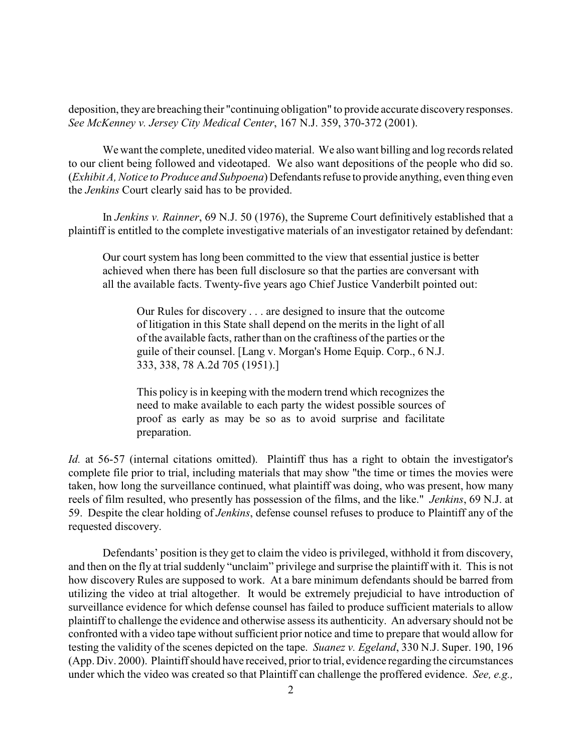deposition, they are breaching their "continuing obligation" to provide accurate discovery responses. *See McKenney v. Jersey City Medical Center*, 167 N.J. 359, 370-372 (2001).

We want the complete, unedited video material. We also want billing and log records related to our client being followed and videotaped. We also want depositions of the people who did so. (*Exhibit A, Notice to Produce and Subpoena*) Defendants refuse to provide anything, even thing even the *Jenkins* Court clearly said has to be provided.

In *Jenkins v. Rainner*, 69 N.J. 50 (1976), the Supreme Court definitively established that a plaintiff is entitled to the complete investigative materials of an investigator retained by defendant:

Our court system has long been committed to the view that essential justice is better achieved when there has been full disclosure so that the parties are conversant with all the available facts. Twenty-five years ago Chief Justice Vanderbilt pointed out:

Our Rules for discovery . . . are designed to insure that the outcome of litigation in this State shall depend on the merits in the light of all of the available facts, rather than on the craftiness of the parties or the guile of their counsel. [Lang v. Morgan's Home Equip. Corp., 6 N.J. 333, 338, 78 A.2d 705 (1951).]

This policy is in keeping with the modern trend which recognizes the need to make available to each party the widest possible sources of proof as early as may be so as to avoid surprise and facilitate preparation.

*Id.* at 56-57 (internal citations omitted). Plaintiff thus has a right to obtain the investigator's complete file prior to trial, including materials that may show "the time or times the movies were taken, how long the surveillance continued, what plaintiff was doing, who was present, how many reels of film resulted, who presently has possession of the films, and the like." *Jenkins*, 69 N.J. at 59. Despite the clear holding of *Jenkins*, defense counsel refuses to produce to Plaintiff any of the requested discovery.

Defendants' position is they get to claim the video is privileged, withhold it from discovery, and then on the fly at trial suddenly "unclaim" privilege and surprise the plaintiff with it. This is not how discovery Rules are supposed to work. At a bare minimum defendants should be barred from utilizing the video at trial altogether. It would be extremely prejudicial to have introduction of surveillance evidence for which defense counsel has failed to produce sufficient materials to allow plaintiff to challenge the evidence and otherwise assess its authenticity. An adversary should not be confronted with a video tape without sufficient prior notice and time to prepare that would allow for testing the validity of the scenes depicted on the tape. *Suanez v. Egeland*, 330 N.J. Super. 190, 196 (App. Div. 2000). Plaintiff should have received, prior to trial, evidence regarding the circumstances under which the video was created so that Plaintiff can challenge the proffered evidence. *See, e.g.,*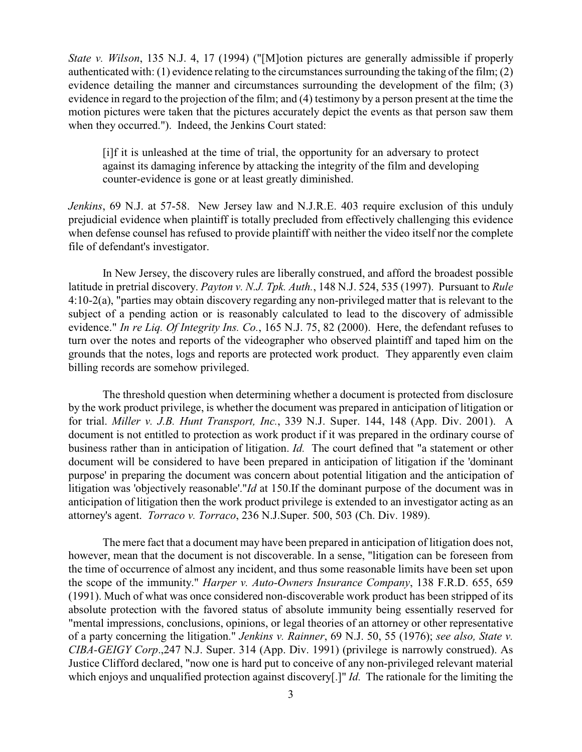*State v. Wilson*, 135 N.J. 4, 17 (1994) ("[M]otion pictures are generally admissible if properly authenticated with: (1) evidence relating to the circumstances surrounding the taking of the film; (2) evidence detailing the manner and circumstances surrounding the development of the film; (3) evidence in regard to the projection of the film; and (4) testimony by a person present at the time the motion pictures were taken that the pictures accurately depict the events as that person saw them when they occurred."). Indeed, the Jenkins Court stated:

[i]f it is unleashed at the time of trial, the opportunity for an adversary to protect against its damaging inference by attacking the integrity of the film and developing counter-evidence is gone or at least greatly diminished.

*Jenkins*, 69 N.J. at 57-58. New Jersey law and N.J.R.E. 403 require exclusion of this unduly prejudicial evidence when plaintiff is totally precluded from effectively challenging this evidence when defense counsel has refused to provide plaintiff with neither the video itself nor the complete file of defendant's investigator.

In New Jersey, the discovery rules are liberally construed, and afford the broadest possible latitude in pretrial discovery. *Payton v. N.J. Tpk. Auth.*, 148 N.J. 524, 535 (1997). Pursuant to *Rule* 4:10-2(a), "parties may obtain discovery regarding any non-privileged matter that is relevant to the subject of a pending action or is reasonably calculated to lead to the discovery of admissible evidence." *In re Liq. Of Integrity Ins. Co.*, 165 N.J. 75, 82 (2000). Here, the defendant refuses to turn over the notes and reports of the videographer who observed plaintiff and taped him on the grounds that the notes, logs and reports are protected work product. They apparently even claim billing records are somehow privileged.

The threshold question when determining whether a document is protected from disclosure by the work product privilege, is whether the document was prepared in anticipation of litigation or for trial. *Miller v. J.B. Hunt Transport, Inc.*, 339 N.J. Super. 144, 148 (App. Div. 2001). A document is not entitled to protection as work product if it was prepared in the ordinary course of business rather than in anticipation of litigation. *Id.* The court defined that "a statement or other document will be considered to have been prepared in anticipation of litigation if the 'dominant purpose' in preparing the document was concern about potential litigation and the anticipation of litigation was 'objectively reasonable'."*Id* at 150.If the dominant purpose of the document was in anticipation of litigation then the work product privilege is extended to an investigator acting as an attorney's agent. *Torraco v. Torraco*, 236 N.J.Super. 500, 503 (Ch. Div. 1989).

The mere fact that a document may have been prepared in anticipation of litigation does not, however, mean that the document is not discoverable. In a sense, "litigation can be foreseen from the time of occurrence of almost any incident, and thus some reasonable limits have been set upon the scope of the immunity." *Harper v. Auto-Owners Insurance Company*, 138 F.R.D. 655, 659 (1991). Much of what was once considered non-discoverable work product has been stripped of its absolute protection with the favored status of absolute immunity being essentially reserved for "mental impressions, conclusions, opinions, or legal theories of an attorney or other representative of a party concerning the litigation." *Jenkins v. Rainner*, 69 N.J. 50, 55 (1976); *see also, State v. CIBA-GEIGY Corp*.,247 N.J. Super. 314 (App. Div. 1991) (privilege is narrowly construed). As Justice Clifford declared, "now one is hard put to conceive of any non-privileged relevant material which enjoys and unqualified protection against discovery[.]" *Id.* The rationale for the limiting the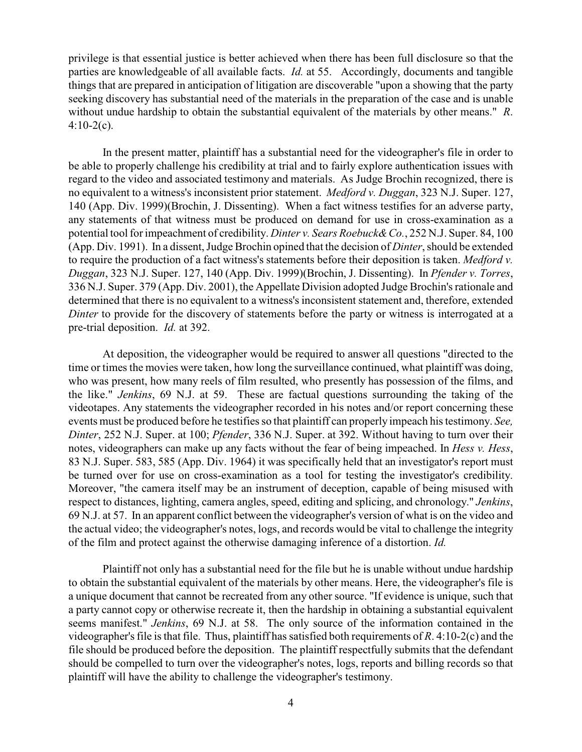privilege is that essential justice is better achieved when there has been full disclosure so that the parties are knowledgeable of all available facts. *Id.* at 55. Accordingly, documents and tangible things that are prepared in anticipation of litigation are discoverable "upon a showing that the party seeking discovery has substantial need of the materials in the preparation of the case and is unable without undue hardship to obtain the substantial equivalent of the materials by other means." *R*.  $4:10-2(c)$ .

In the present matter, plaintiff has a substantial need for the videographer's file in order to be able to properly challenge his credibility at trial and to fairly explore authentication issues with regard to the video and associated testimony and materials. As Judge Brochin recognized, there is no equivalent to a witness's inconsistent prior statement. *Medford v. Duggan*, 323 N.J. Super. 127, 140 (App. Div. 1999)(Brochin, J. Dissenting). When a fact witness testifies for an adverse party, any statements of that witness must be produced on demand for use in cross-examination as a potential tool for impeachment of credibility. *Dinter v. Sears Roebuck& Co.*, 252 N.J. Super. 84, 100 (App. Div. 1991). In a dissent, Judge Brochin opined that the decision of *Dinter*, should be extended to require the production of a fact witness's statements before their deposition is taken. *Medford v. Duggan*, 323 N.J. Super. 127, 140 (App. Div. 1999)(Brochin, J. Dissenting). In *Pfender v. Torres*, 336 N.J. Super. 379 (App. Div. 2001), the Appellate Division adopted Judge Brochin's rationale and determined that there is no equivalent to a witness's inconsistent statement and, therefore, extended *Dinter* to provide for the discovery of statements before the party or witness is interrogated at a pre-trial deposition. *Id.* at 392.

At deposition, the videographer would be required to answer all questions "directed to the time or times the movies were taken, how long the surveillance continued, what plaintiff was doing, who was present, how many reels of film resulted, who presently has possession of the films, and the like." *Jenkins*, 69 N.J. at 59. These are factual questions surrounding the taking of the videotapes. Any statements the videographer recorded in his notes and/or report concerning these events must be produced before he testifies so that plaintiff can properly impeach his testimony. *See, Dinter*, 252 N.J. Super. at 100; *Pfender*, 336 N.J. Super. at 392. Without having to turn over their notes, videographers can make up any facts without the fear of being impeached. In *Hess v. Hess*, 83 N.J. Super. 583, 585 (App. Div. 1964) it was specifically held that an investigator's report must be turned over for use on cross-examination as a tool for testing the investigator's credibility. Moreover, "the camera itself may be an instrument of deception, capable of being misused with respect to distances, lighting, camera angles, speed, editing and splicing, and chronology." *Jenkins*, 69 N.J. at 57. In an apparent conflict between the videographer's version of what is on the video and the actual video; the videographer's notes, logs, and records would be vital to challenge the integrity of the film and protect against the otherwise damaging inference of a distortion. *Id.*

Plaintiff not only has a substantial need for the file but he is unable without undue hardship to obtain the substantial equivalent of the materials by other means. Here, the videographer's file is a unique document that cannot be recreated from any other source. "If evidence is unique, such that a party cannot copy or otherwise recreate it, then the hardship in obtaining a substantial equivalent seems manifest." *Jenkins*, 69 N.J. at 58. The only source of the information contained in the videographer's file is that file. Thus, plaintiff has satisfied both requirements of *R*. 4:10-2(c) and the file should be produced before the deposition. The plaintiff respectfully submits that the defendant should be compelled to turn over the videographer's notes, logs, reports and billing records so that plaintiff will have the ability to challenge the videographer's testimony.